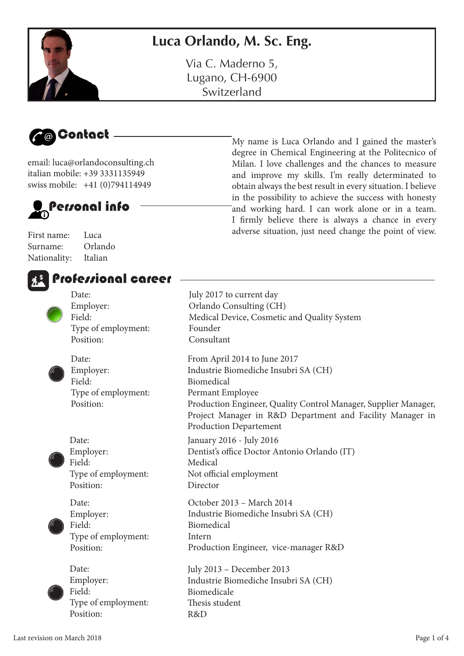

Via C. Maderno 5, Lugano, CH-6900 Switzerland





email: luca@orlandoconsulting.ch italian mobile: +39 3331135949 swiss mobile: +41 (0)794114949



First name: Luca Surname: Orlando Nationality: Italian





My name is Luca Orlando and I gained the master's degree in Chemical Engineering at the Politecnico of Milan. I love challenges and the chances to measure and improve my skills. I'm really determinated to obtain always the best result in every situation. I believe in the possibility to achieve the success with honesty and working hard. I can work alone or in a team. I frmly believe there is always a chance in every adverse situation, just need change the point of view.

| тогстлоны сысст                                                  |                                                                                                                                                                                                                                                                         |
|------------------------------------------------------------------|-------------------------------------------------------------------------------------------------------------------------------------------------------------------------------------------------------------------------------------------------------------------------|
| Date:<br>Employer:<br>Field:<br>Type of employment:<br>Position: | July 2017 to current day<br>Orlando Consulting (CH)<br>Medical Device, Cosmetic and Quality System<br>Founder<br>Consultant                                                                                                                                             |
| Date:<br>Employer:<br>Field:<br>Type of employment:<br>Position: | From April 2014 to June 2017<br>Industrie Biomediche Insubri SA (CH)<br>Biomedical<br>Permant Employee<br>Production Engineer, Quality Control Manager, Supplier Manager,<br>Project Manager in R&D Department and Facility Manager in<br><b>Production Departement</b> |
| Date:<br>Employer:<br>Field:<br>Type of employment:<br>Position: | January 2016 - July 2016<br>Dentist's office Doctor Antonio Orlando (IT)<br>Medical<br>Not official employment<br>Director                                                                                                                                              |
| Date:<br>Employer:<br>Field:<br>Type of employment:<br>Position: | October 2013 - March 2014<br>Industrie Biomediche Insubri SA (CH)<br>Biomedical<br>Intern<br>Production Engineer, vice-manager R&D                                                                                                                                      |
| Date:<br>Employer:<br>Field:<br>Type of employment:<br>Position: | July 2013 - December 2013<br>Industrie Biomediche Insubri SA (CH)<br>Biomedicale<br>Thesis student<br>R&D                                                                                                                                                               |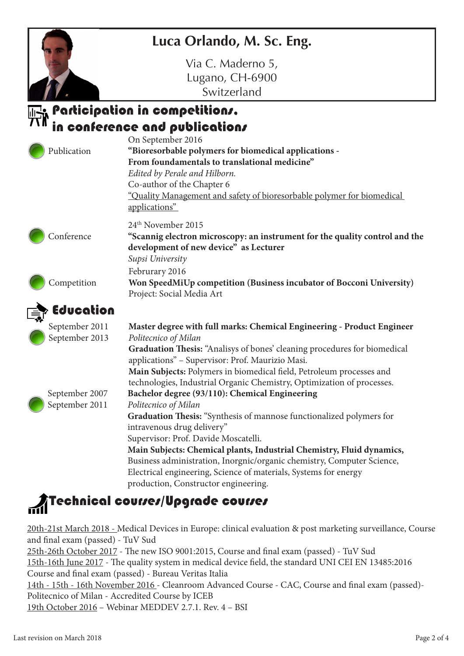#### **Luca Orlando, M. Sc. Eng.**

Via C. Maderno 5, Lugano, CH-6900 Switzerland

#### Participation in competitions. in conference and publications

| Publication                      | On September 2016<br>"Bioresorbable polymers for biomedical applications -<br>From foundamentals to translational medicine"<br>Edited by Perale and Hilborn.<br>Co-author of the Chapter 6<br>"Quality Management and safety of bioresorbable polymer for biomedical<br>applications"                                                                                                                                                                                               |
|----------------------------------|-------------------------------------------------------------------------------------------------------------------------------------------------------------------------------------------------------------------------------------------------------------------------------------------------------------------------------------------------------------------------------------------------------------------------------------------------------------------------------------|
| Conference                       | 24 <sup>th</sup> November 2015<br>"Scannig electron microscopy: an instrument for the quality control and the<br>development of new device" as Lecturer<br>Supsi University                                                                                                                                                                                                                                                                                                         |
| Competition                      | Februrary 2016<br>Won SpeedMiUp competition (Business incubator of Bocconi University)<br>Project: Social Media Art                                                                                                                                                                                                                                                                                                                                                                 |
| Education                        |                                                                                                                                                                                                                                                                                                                                                                                                                                                                                     |
| September 2011<br>September 2013 | Master degree with full marks: Chemical Engineering - Product Engineer<br>Politecnico of Milan<br>Graduation Thesis: "Analisys of bones' cleaning procedures for biomedical<br>applications" - Supervisor: Prof. Maurizio Masi.<br>Main Subjects: Polymers in biomedical field, Petroleum processes and<br>technologies, Industrial Organic Chemistry, Optimization of processes.                                                                                                   |
| September 2007<br>September 2011 | Bachelor degree (93/110): Chemical Engineering<br>Politecnico of Milan<br>Graduation Thesis: "Synthesis of mannose functionalized polymers for<br>intravenous drug delivery"<br>Supervisor: Prof. Davide Moscatelli.<br>Main Subjects: Chemical plants, Industrial Chemistry, Fluid dynamics,<br>Business administration, Inorgnic/organic chemistry, Computer Science,<br>Electrical engineering, Science of materials, Systems for energy<br>production, Constructor engineering. |
|                                  |                                                                                                                                                                                                                                                                                                                                                                                                                                                                                     |

# Technical courser/Upgrade courser

20th-21st March 2018 - Medical Devices in Europe: clinical evaluation & post marketing surveillance, Course and fnal exam (passed) - TuV Sud 25th-26th October 2017 - The new ISO 9001:2015, Course and final exam (passed) - TuV Sud 15th-16th June 2017 - The quality system in medical device field, the standard UNI CEI EN 13485:2016

Course and fnal exam (passed) - Bureau Veritas Italia 14th - 15th - 16th November 2016 - Cleanroom Advanced Course - CAC, Course and fnal exam (passed)- Politecnico of Milan - Accredited Course by ICEB

19th October 2016 – Webinar MEDDEV 2.7.1. Rev. 4 – BSI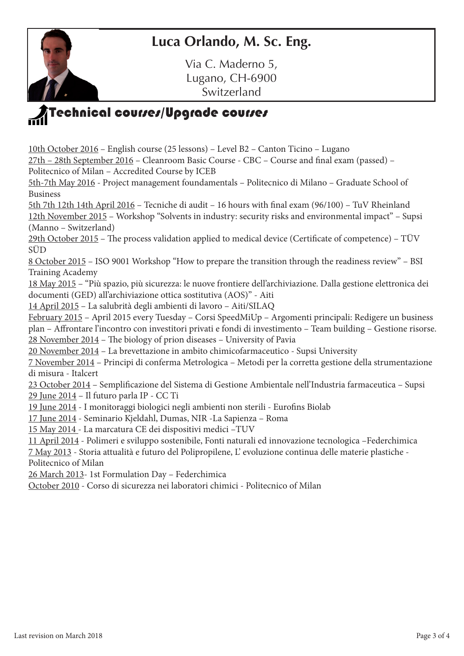#### **Luca Orlando, M. Sc. Eng.**

Via C. Maderno 5, Lugano, CH-6900 Switzerland

## $\bar{\textbf{A}}$ Technical courses/Upgrade courses

10th October 2016 – English course (25 lessons) – Level B2 – Canton Ticino – Lugano 27th – 28th September 2016 – Cleanroom Basic Course - CBC – Course and fnal exam (passed) – Politecnico of Milan – Accredited Course by ICEB 5th-7th May 2016 - Project management foundamentals – Politecnico di Milano – Graduate School of Business 5th 7th 12th 14th April 2016 – Tecniche di audit – 16 hours with fnal exam (96/100) – TuV Rheinland 12th November 2015 – Workshop "Solvents in industry: security risks and environmental impact" – Supsi (Manno – Switzerland)  $29th October 2015$  – The process validation applied to medical device (Certificate of competence) – TÜV SÜD 8 October 2015 – ISO 9001 Workshop "How to prepare the transition through the readiness review" – BSI Training Academy 18 May 2015 – "Più spazio, più sicurezza: le nuove frontiere dell'archiviazione. Dalla gestione elettronica dei documenti (GED) all'archiviazione ottica sostitutiva (AOS)" - Aiti 14 April 2015 – La salubrità degli ambienti di lavoro – Aiti/SILAQ February 2015 – April 2015 every Tuesday – Corsi SpeedMiUp – Argomenti principali: Redigere un business plan – Afrontare l'incontro con investitori privati e fondi di investimento – Team building – Gestione risorse.  $28$  November 2014 – The biology of prion diseases – University of Pavia 20 November 2014 – La brevettazione in ambito chimicofarmaceutico - Supsi University 7 November 2014 – Principi di conferma Metrologica – Metodi per la corretta gestione della strumentazione di misura - Italcert 23 October 2014 – Semplifcazione del Sistema di Gestione Ambientale nell'Industria farmaceutica – Supsi 29 June 2014 – Il futuro parla IP - CC Ti 19 June 2014 - I monitoraggi biologici negli ambienti non sterili - Eurofns Biolab 17 June 2014 - Seminario Kjeldahl, Dumas, NIR -La Sapienza – Roma 15 May 2014 - La marcatura CE dei dispositivi medici –TUV 11 April 2014 - Polimeri e sviluppo sostenibile, Fonti naturali ed innovazione tecnologica –Federchimica 7 May 2013 - Storia attualità e futuro del Polipropilene, L' evoluzione continua delle materie plastiche - Politecnico of Milan

26 March 2013- 1st Formulation Day – Federchimica

October 2010 - Corso di sicurezza nei laboratori chimici - Politecnico of Milan